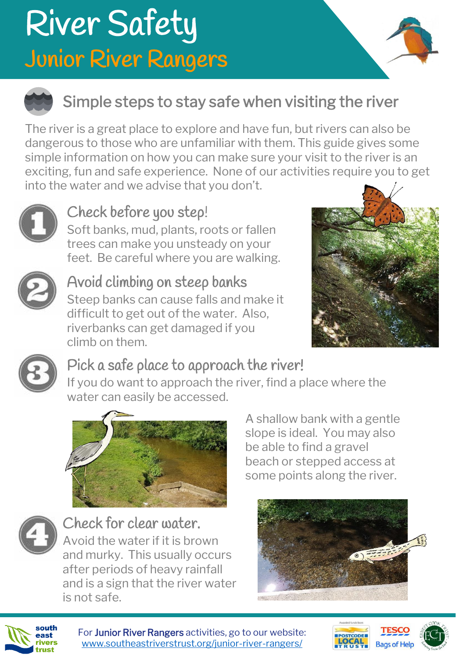## River Safety Junior River Rangers





### Simple steps to stay safe when visiting the river

The river is a great place to explore and have fun, but rivers can also be dangerous to those who are unfamiliar with them. This guide gives some simple information on how you can make sure your visit to the river is an exciting, fun and safe experience. None of our activities require you to get into the water and we advise that you don't.



### Check before you step!

Soft banks, mud, plants, roots or fallen trees can make you unsteady on your feet. Be careful where you are walking.



#### Avoid climbing on steep banks

Steep banks can cause falls and make it difficult to get out of the water. Also, riverbanks can get damaged if you climb on them.





### Pick a safe place to approach the river!

If you do want to approach the river, find a place where the water can easily be accessed.





Check for clear water.

Avoid the water if it is brown and murky. This usually occurs after periods of heavy rainfall and is a sign that the river water is not safe.

A shallow bank with a gentle slope is ideal. You may also be able to find a gravel beach or stepped access at some points along the river.





For Junior River Rangers activities, go to our website: [www.southeastriverstrust.org/junior-river-rangers/](http://www.southeastriverstrust.org/junior-river-rangers/)